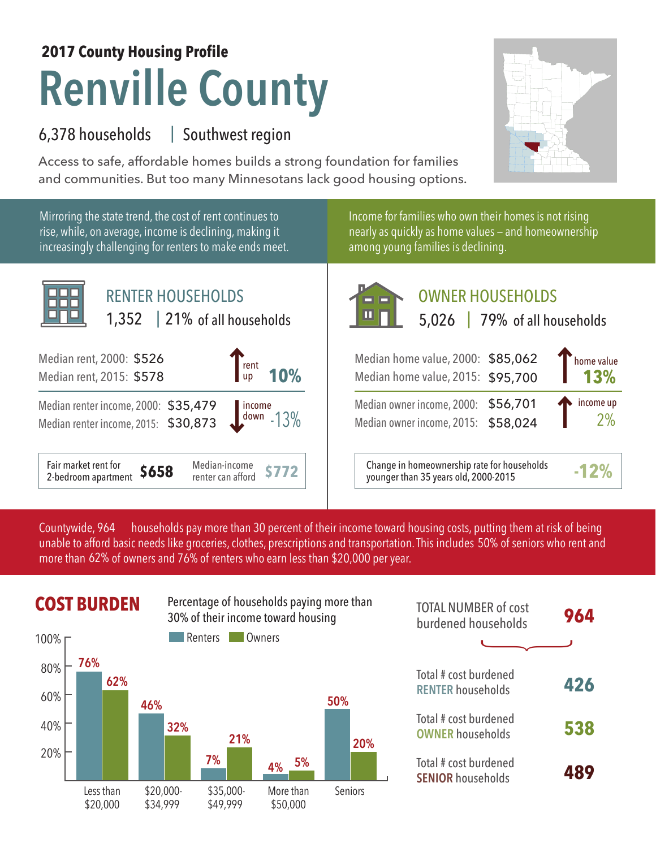## **Renville County 2017 County Housing Profile**

## 6,378 households Southwest region |

Access to safe, affordable homes builds a strong foundation for families and communities. But too many Minnesotans lack good housing options.

Mirroring the state trend, the cost of rent continues to rise, while, on average, income is declining, making it increasingly challenging for renters to make ends meet.



Income for families who own their homes is not rising nearly as quickly as home values — and homeownership among young families is declining.



Median owner income, 2015: \$58,024

**\$772** Change in homeownership rate for households younger than 35 years old, 2000-2015 **-12%**

**13%**

2% income up

households pay more than 30 percent of their income toward housing costs, putting them at risk of being unable to afford basic needs like groceries, clothes, prescriptions and transportation. This includes 50% of seniors who rent and more than 62% of owners and 76% of renters who earn less than \$20,000 per year. Countywide, 964



|                  | <b>COST BURDEN</b> |         |         | Percentage of households paying more than<br>30% of their income toward housing |         | <b>TOTAL NUMBER of cost</b><br>burdened households | 964 |
|------------------|--------------------|---------|---------|---------------------------------------------------------------------------------|---------|----------------------------------------------------|-----|
| $100\%$ $\Gamma$ |                    |         | Renters | Owners                                                                          |         |                                                    |     |
| 80%              | 76%<br>62%         |         |         |                                                                                 |         | Total # cost burdened                              | 426 |
| 60%              |                    | 46%     |         |                                                                                 | 50%     | <b>RENTER households</b>                           |     |
| 40%              |                    | 32%     | 21%     |                                                                                 | 20%     | Total # cost burdened<br><b>OWNER households</b>   | 538 |
| 20%              |                    |         | 7%      | 5%<br>4%                                                                        |         | Total # cost burdened<br><b>SENIOR households</b>  | 489 |
|                  | l acc than         | \$20000 | \$3500. | More than                                                                       | Saniors |                                                    |     |